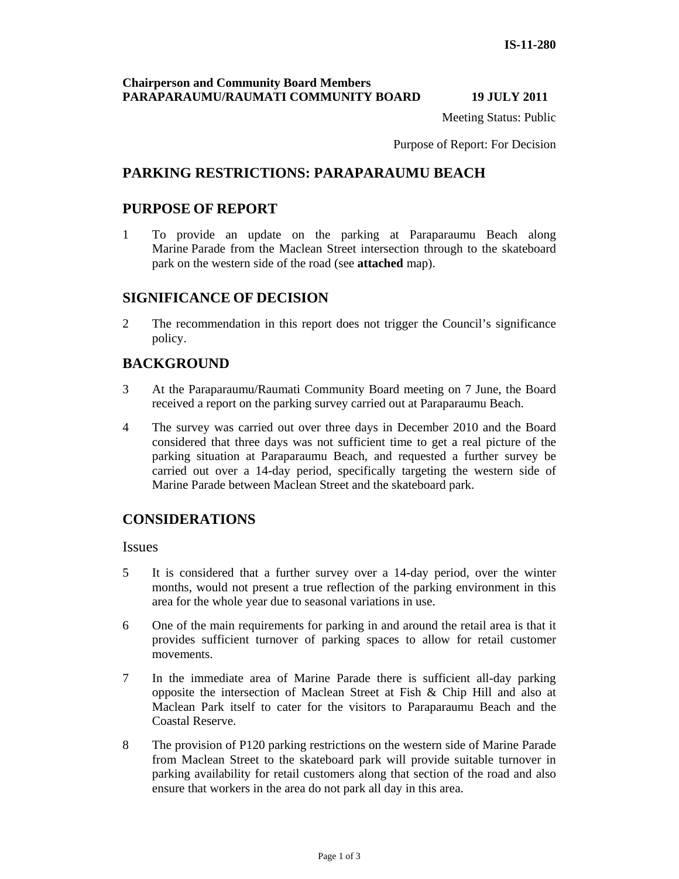### **Chairperson and Community Board Members PARAPARAUMU/RAUMATI COMMUNITY BOARD 19 JULY 2011**

Meeting Status: Public

Purpose of Report: For Decision

# **PARKING RESTRICTIONS: PARAPARAUMU BEACH**

## **PURPOSE OF REPORT**

1 To provide an update on the parking at Paraparaumu Beach along Marine Parade from the Maclean Street intersection through to the skateboard park on the western side of the road (see **attached** map).

## **SIGNIFICANCE OF DECISION**

2 The recommendation in this report does not trigger the Council's significance policy.

## **BACKGROUND**

- 3 At the Paraparaumu/Raumati Community Board meeting on 7 June, the Board received a report on the parking survey carried out at Paraparaumu Beach.
- 4 The survey was carried out over three days in December 2010 and the Board considered that three days was not sufficient time to get a real picture of the parking situation at Paraparaumu Beach, and requested a further survey be carried out over a 14-day period, specifically targeting the western side of Marine Parade between Maclean Street and the skateboard park.

## **CONSIDERATIONS**

Issues

- 5 It is considered that a further survey over a 14-day period, over the winter months, would not present a true reflection of the parking environment in this area for the whole year due to seasonal variations in use.
- 6 One of the main requirements for parking in and around the retail area is that it provides sufficient turnover of parking spaces to allow for retail customer movements.
- 7 In the immediate area of Marine Parade there is sufficient all-day parking opposite the intersection of Maclean Street at Fish & Chip Hill and also at Maclean Park itself to cater for the visitors to Paraparaumu Beach and the Coastal Reserve.
- 8 The provision of P120 parking restrictions on the western side of Marine Parade from Maclean Street to the skateboard park will provide suitable turnover in parking availability for retail customers along that section of the road and also ensure that workers in the area do not park all day in this area.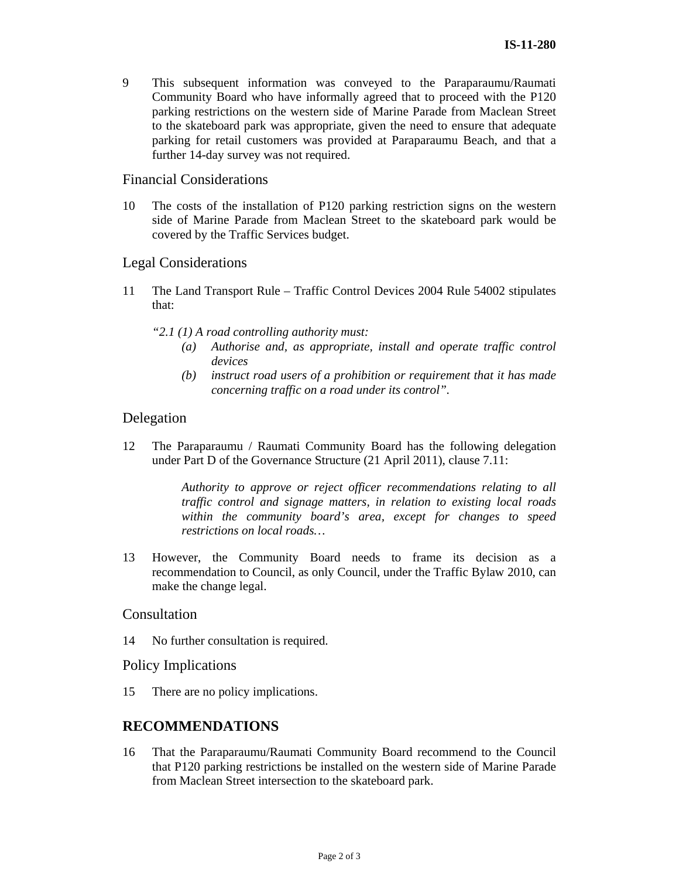9 This subsequent information was conveyed to the Paraparaumu/Raumati Community Board who have informally agreed that to proceed with the P120 parking restrictions on the western side of Marine Parade from Maclean Street to the skateboard park was appropriate, given the need to ensure that adequate parking for retail customers was provided at Paraparaumu Beach, and that a further 14-day survey was not required.

#### Financial Considerations

10 The costs of the installation of P120 parking restriction signs on the western side of Marine Parade from Maclean Street to the skateboard park would be covered by the Traffic Services budget.

#### Legal Considerations

- 11 The Land Transport Rule Traffic Control Devices 2004 Rule 54002 stipulates that:
	- *"2.1 (1) A road controlling authority must:* 
		- *(a) Authorise and, as appropriate, install and operate traffic control devices*
		- *(b) instruct road users of a prohibition or requirement that it has made concerning traffic on a road under its control".*

### Delegation

12 The Paraparaumu / Raumati Community Board has the following delegation under Part D of the Governance Structure (21 April 2011), clause 7.11:

> *Authority to approve or reject officer recommendations relating to all traffic control and signage matters, in relation to existing local roads within the community board's area, except for changes to speed restrictions on local roads…*

13 However, the Community Board needs to frame its decision as a recommendation to Council, as only Council, under the Traffic Bylaw 2010, can make the change legal.

#### **Consultation**

14 No further consultation is required.

#### Policy Implications

15 There are no policy implications.

#### **RECOMMENDATIONS**

16 That the Paraparaumu/Raumati Community Board recommend to the Council that P120 parking restrictions be installed on the western side of Marine Parade from Maclean Street intersection to the skateboard park.